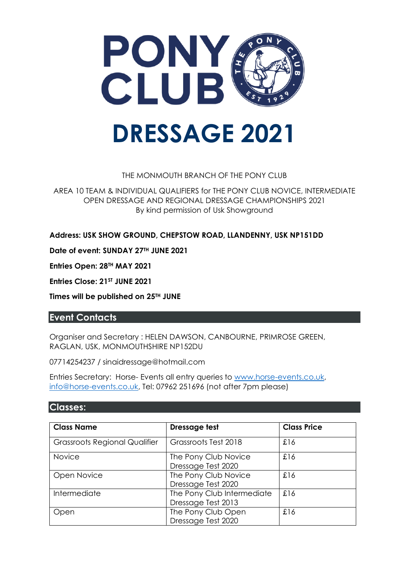

#### THE MONMOUTH BRANCH OF THE PONY CLUB

AREA 10 TEAM & INDIVIDUAL QUALIFIERS for THE PONY CLUB NOVICE, INTERMEDIATE OPEN DRESSAGE AND REGIONAL DRESSAGE CHAMPIONSHIPS 2021 By kind permission of Usk Showground

**Address: USK SHOW GROUND, CHEPSTOW ROAD, LLANDENNY, USK NP151DD**

**Date of event: SUNDAY 27TH JUNE 2021**

**Entries Open: 28TH MAY 2021**

**Entries Close: 21ST JUNE 2021**

**Times will be published on 25TH JUNE**

### **Event Contacts**

Organiser and Secretary : HELEN DAWSON, CANBOURNE, PRIMROSE GREEN, RAGLAN, USK, MONMOUTHSHIRE NP152DU

07714254237 / sinaidressage@hotmail.com

Entries Secretary: Horse- Events all entry queries to [www.horse-events.co.uk,](http://www.horse-events.co.uk/) [info@horse-events.co.uk,](mailto:info@horse-events.co.uk) Tel: 07962 251696 (not after 7pm please)

#### **Classes:**

| <b>Class Name</b>                    | Dressage test                                    | <b>Class Price</b> |
|--------------------------------------|--------------------------------------------------|--------------------|
| <b>Grassroots Regional Qualifier</b> | Grassroots Test 2018                             | £16                |
| <b>Novice</b>                        | The Pony Club Novice<br>Dressage Test 2020       | £16                |
| Open Novice                          | The Pony Club Novice<br>Dressage Test 2020       | £16                |
| Intermediate                         | The Pony Club Intermediate<br>Dressage Test 2013 | £16                |
| Open                                 | The Pony Club Open<br>Dressage Test 2020         | £16                |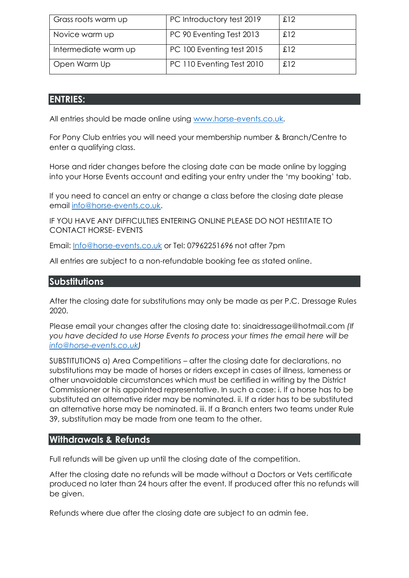| Grass roots warm up  | PC Introductory test 2019 | £12 |
|----------------------|---------------------------|-----|
| Novice warm up       | PC 90 Eventing Test 2013  | £12 |
| Intermediate warm up | PC 100 Eventing test 2015 | £12 |
| Open Warm Up         | PC 110 Eventing Test 2010 | £12 |

### **ENTRIES:**

All entries should be made online using [www.horse-events.co.uk](http://www.horse-events.co.uk/).

For Pony Club entries you will need your membership number & Branch/Centre to enter a qualifying class.

Horse and rider changes before the closing date can be made online by logging into your Horse Events account and editing your entry under the 'my booking' tab.

If you need to cancel an entry or change a class before the closing date please email [info@horse-events.co.uk.](mailto:info@horse-events.co.uk)

IF YOU HAVE ANY DIFFICULTIES ENTERING ONLINE PLEASE DO NOT HESTITATE TO CONTACT HORSE- EVENTS

Email: [Info@horse-events.co.uk](mailto:Info@horse-events.co.uk) or Tel: 07962251696 not after 7pm

All entries are subject to a non-refundable booking fee as stated online.

### **Substitutions**

After the closing date for substitutions may only be made as per P.C. Dressage Rules 2020.

Please email your changes after the closing date to: sinaidressage@hotmail.com *(If you have decided to use Horse Events to process your times the email here will be [info@horse-events.co.uk\)](mailto:info@horse-events.co.uk)*

SUBSTITUTIONS a) Area Competitions – after the closing date for declarations, no substitutions may be made of horses or riders except in cases of illness, lameness or other unavoidable circumstances which must be certified in writing by the District Commissioner or his appointed representative. In such a case: i. If a horse has to be substituted an alternative rider may be nominated. ii. If a rider has to be substituted an alternative horse may be nominated. iii. If a Branch enters two teams under Rule 39, substitution may be made from one team to the other.

### **Withdrawals & Refunds**

Full refunds will be given up until the closing date of the competition.

After the closing date no refunds will be made without a Doctors or Vets certificate produced no later than 24 hours after the event. If produced after this no refunds will be given.

Refunds where due after the closing date are subject to an admin fee.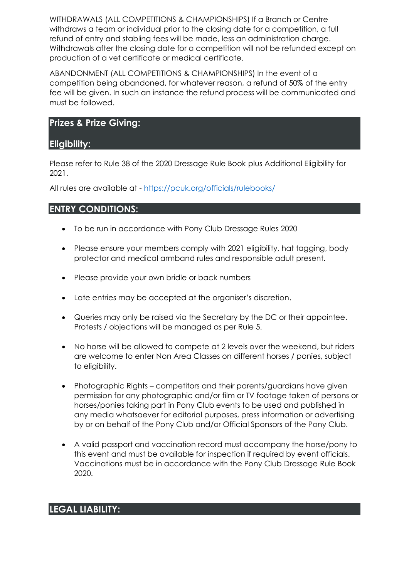WITHDRAWALS (ALL COMPETITIONS & CHAMPIONSHIPS) If a Branch or Centre withdraws a team or individual prior to the closing date for a competition, a full refund of entry and stabling fees will be made, less an administration charge. Withdrawals after the closing date for a competition will not be refunded except on production of a vet certificate or medical certificate.

ABANDONMENT (ALL COMPETITIONS & CHAMPIONSHIPS) In the event of a competition being abandoned, for whatever reason, a refund of 50% of the entry fee will be given. In such an instance the refund process will be communicated and must be followed.

## **Prizes & Prize Giving:**

### **Eligibility:**

Please refer to Rule 38 of the 2020 Dressage Rule Book plus Additional Eligibility for 2021.

All rules are available at - <https://pcuk.org/officials/rulebooks/>

# **ENTRY CONDITIONS:**

- To be run in accordance with Pony Club Dressage Rules 2020
- Please ensure your members comply with 2021 eligibility, hat tagging, body protector and medical armband rules and responsible adult present.
- Please provide your own bridle or back numbers
- Late entries may be accepted at the organiser's discretion.
- Queries may only be raised via the Secretary by the DC or their appointee. Protests / objections will be managed as per Rule 5.
- No horse will be allowed to compete at 2 levels over the weekend, but riders are welcome to enter Non Area Classes on different horses / ponies, subject to eligibility.
- Photographic Rights competitors and their parents/guardians have given permission for any photographic and/or film or TV footage taken of persons or horses/ponies taking part in Pony Club events to be used and published in any media whatsoever for editorial purposes, press information or advertising by or on behalf of the Pony Club and/or Official Sponsors of the Pony Club.
- A valid passport and vaccination record must accompany the horse/pony to this event and must be available for inspection if required by event officials. Vaccinations must be in accordance with the Pony Club Dressage Rule Book 2020.

### **LEGAL LIABILITY:**